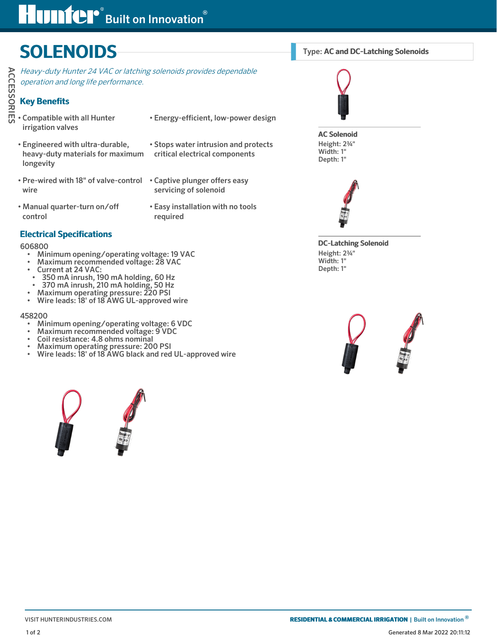# SOLENOIDS

Heavy-duty Hunter 24 VAC or latching solenoids provides dependable operation and long life performance.

## Key Benefits

- Compatible with all Hunter irrigation valves
- Engineered with ultra-durable, heavy-duty materials for maximum longevity • Engineered with ultra-durable, • Stops water intrusion and protects
- 

• Energy-efficient, low-power design

- Pre-wired with 18" of valve-control Captive plunger offers easy
- critical electrical components

required

- servicing of solenoid
- Manual quarter-turn on/off control • Manual quarter-turn on/off • Easy installation with no tools

### Electrical Specifications

#### 606800

wire

- Minimum opening/operating voltage: 19 VAC
- Maximum recommended voltage: 28 VAC
- Current at 24 VAC:
- 350 mA inrush, 190 mA holding, 60 Hz
- 370 mA inrush, 210 mA holding, 50 Hz
- Maximum operating pressure: 220 PSI
- Wire leads: 18' of 18 AWG UL-approved wire

#### 458200

- Minimum opening/operating voltage: 6 VDC
- Maximum recommended voltage: 9 VDC
- Coil resistance: 4.8 ohms nominal
- Maximum operating pressure: 200 PSI
- Wire leads: 18' of 18 AWG black and red UL-approved wire



Type: AC and DC-Latching Solenoids

AC Solenoid Height: 2¾" Width: 1" Depth: 1"



DC-Latching Solenoid Height: 2¾" Width: 1" Depth: 1"